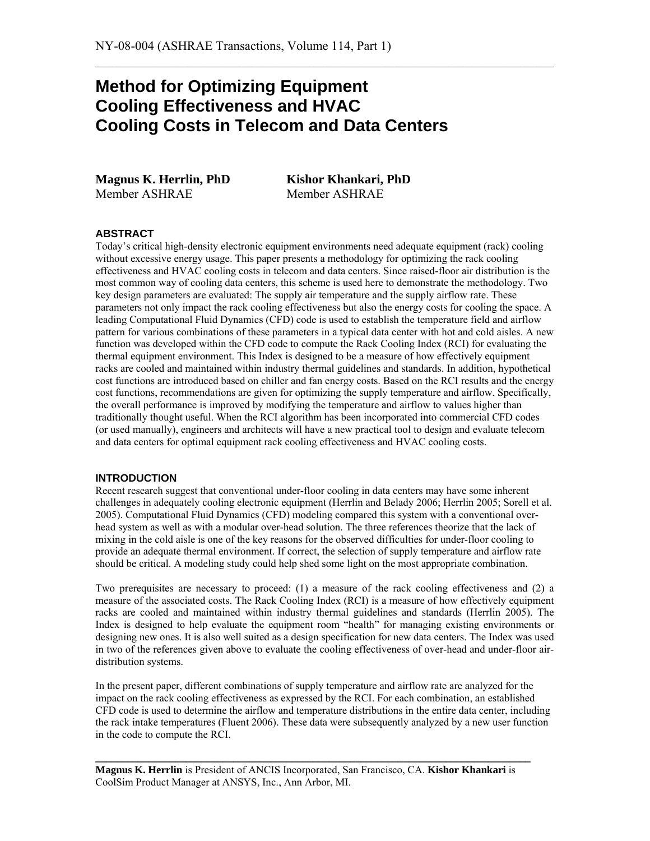# **Method for Optimizing Equipment Cooling Effectiveness and HVAC Cooling Costs in Telecom and Data Centers**

**Magnus K. Herrlin, PhD Kishor Khankari, PhD**  Member ASHRAE Member ASHRAE

 $\mathcal{L}_\text{max}$  , and the contribution of the contribution of the contribution of the contribution of the contribution of the contribution of the contribution of the contribution of the contribution of the contribution of t

# **ABSTRACT**

Today's critical high-density electronic equipment environments need adequate equipment (rack) cooling without excessive energy usage. This paper presents a methodology for optimizing the rack cooling effectiveness and HVAC cooling costs in telecom and data centers. Since raised-floor air distribution is the most common way of cooling data centers, this scheme is used here to demonstrate the methodology. Two key design parameters are evaluated: The supply air temperature and the supply airflow rate. These parameters not only impact the rack cooling effectiveness but also the energy costs for cooling the space. A leading Computational Fluid Dynamics (CFD) code is used to establish the temperature field and airflow pattern for various combinations of these parameters in a typical data center with hot and cold aisles. A new function was developed within the CFD code to compute the Rack Cooling Index (RCI) for evaluating the thermal equipment environment. This Index is designed to be a measure of how effectively equipment racks are cooled and maintained within industry thermal guidelines and standards. In addition, hypothetical cost functions are introduced based on chiller and fan energy costs. Based on the RCI results and the energy cost functions, recommendations are given for optimizing the supply temperature and airflow. Specifically, the overall performance is improved by modifying the temperature and airflow to values higher than traditionally thought useful. When the RCI algorithm has been incorporated into commercial CFD codes (or used manually), engineers and architects will have a new practical tool to design and evaluate telecom and data centers for optimal equipment rack cooling effectiveness and HVAC cooling costs.

## **INTRODUCTION**

Recent research suggest that conventional under-floor cooling in data centers may have some inherent challenges in adequately cooling electronic equipment (Herrlin and Belady 2006; Herrlin 2005; Sorell et al. 2005). Computational Fluid Dynamics (CFD) modeling compared this system with a conventional overhead system as well as with a modular over-head solution. The three references theorize that the lack of mixing in the cold aisle is one of the key reasons for the observed difficulties for under-floor cooling to provide an adequate thermal environment. If correct, the selection of supply temperature and airflow rate should be critical. A modeling study could help shed some light on the most appropriate combination.

Two prerequisites are necessary to proceed: (1) a measure of the rack cooling effectiveness and (2) a measure of the associated costs. The Rack Cooling Index (RCI) is a measure of how effectively equipment racks are cooled and maintained within industry thermal guidelines and standards (Herrlin 2005). The Index is designed to help evaluate the equipment room "health" for managing existing environments or designing new ones. It is also well suited as a design specification for new data centers. The Index was used in two of the references given above to evaluate the cooling effectiveness of over-head and under-floor airdistribution systems.

In the present paper, different combinations of supply temperature and airflow rate are analyzed for the impact on the rack cooling effectiveness as expressed by the RCI. For each combination, an established CFD code is used to determine the airflow and temperature distributions in the entire data center, including the rack intake temperatures (Fluent 2006). These data were subsequently analyzed by a new user function in the code to compute the RCI.

**Magnus K. Herrlin** is President of ANCIS Incorporated, San Francisco, CA. **Kishor Khankari** is CoolSim Product Manager at ANSYS, Inc., Ann Arbor, MI.

**\_\_\_\_\_\_\_\_\_\_\_\_\_\_\_\_\_\_\_\_\_\_\_\_\_\_\_\_\_\_\_\_\_\_\_\_\_\_\_\_\_\_\_\_\_\_\_\_\_\_\_\_\_\_\_\_\_\_\_\_\_\_\_\_\_\_\_\_\_\_\_\_\_\_\_\_\_\_\_\_\_\_**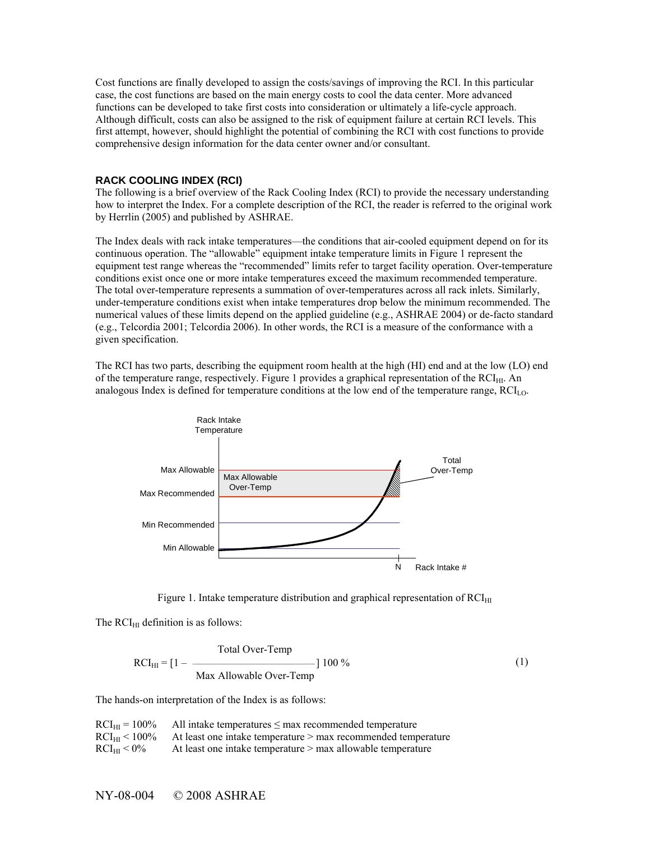Cost functions are finally developed to assign the costs/savings of improving the RCI. In this particular case, the cost functions are based on the main energy costs to cool the data center. More advanced functions can be developed to take first costs into consideration or ultimately a life-cycle approach. Although difficult, costs can also be assigned to the risk of equipment failure at certain RCI levels. This first attempt, however, should highlight the potential of combining the RCI with cost functions to provide comprehensive design information for the data center owner and/or consultant.

#### **RACK COOLING INDEX (RCI)**

The following is a brief overview of the Rack Cooling Index (RCI) to provide the necessary understanding how to interpret the Index. For a complete description of the RCI, the reader is referred to the original work by Herrlin (2005) and published by ASHRAE.

The Index deals with rack intake temperatures—the conditions that air-cooled equipment depend on for its continuous operation. The "allowable" equipment intake temperature limits in Figure 1 represent the equipment test range whereas the "recommended" limits refer to target facility operation. Over-temperature conditions exist once one or more intake temperatures exceed the maximum recommended temperature. The total over-temperature represents a summation of over-temperatures across all rack inlets. Similarly, under-temperature conditions exist when intake temperatures drop below the minimum recommended. The numerical values of these limits depend on the applied guideline (e.g., ASHRAE 2004) or de-facto standard (e.g., Telcordia 2001; Telcordia 2006). In other words, the RCI is a measure of the conformance with a given specification.

The RCI has two parts, describing the equipment room health at the high (HI) end and at the low (LO) end of the temperature range, respectively. Figure 1 provides a graphical representation of the RCI<sub>HI</sub>. An analogous Index is defined for temperature conditions at the low end of the temperature range, RCI<sub>LO</sub>.



Figure 1. Intake temperature distribution and graphical representation of  $RCI<sub>HI</sub>$ 

The  $RCI<sub>HI</sub>$  definition is as follows:

$$
RCI_{\text{HI}} = [1 - \frac{\text{Total Over-Temp}}{\text{Max} \text{Allowable Over-Temp}}] 100\,\%
$$
 (1)

The hands-on interpretation of the Index is as follows:

| $RCI_{HI} = 100\%$    | All intake temperatures $\leq$ max recommended temperature    |
|-----------------------|---------------------------------------------------------------|
| $RCI_{\rm HI}$ < 100% | At least one intake temperature > max recommended temperature |
| $RCI_{HI}$ < 0%       | At least one intake temperature > max allowable temperature   |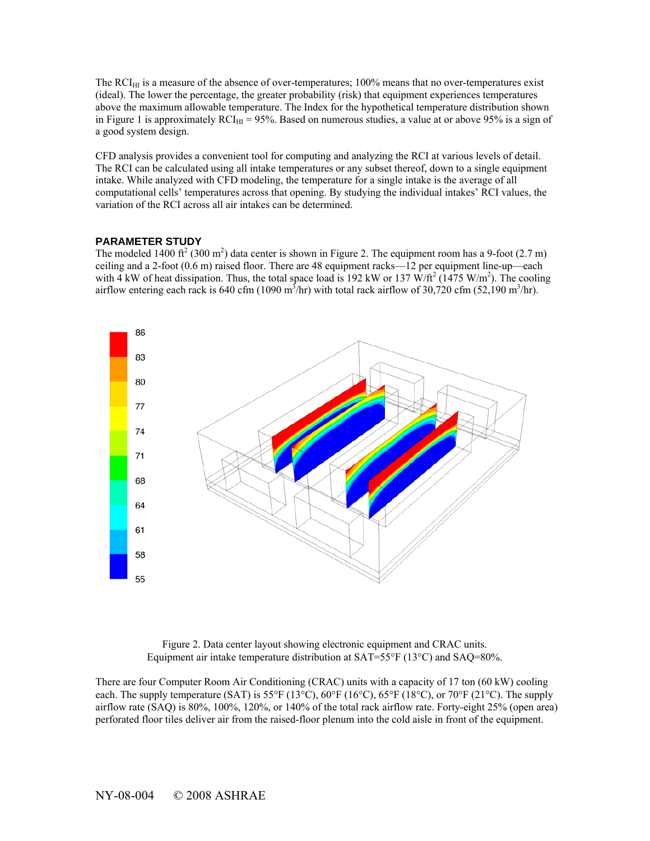The  $RCI_{HI}$  is a measure of the absence of over-temperatures; 100% means that no over-temperatures exist (ideal). The lower the percentage, the greater probability (risk) that equipment experiences temperatures above the maximum allowable temperature. The Index for the hypothetical temperature distribution shown in Figure 1 is approximately  $RCI_{HI} = 95\%$ . Based on numerous studies, a value at or above 95% is a sign of a good system design.

CFD analysis provides a convenient tool for computing and analyzing the RCI at various levels of detail. The RCI can be calculated using all intake temperatures or any subset thereof, down to a single equipment intake. While analyzed with CFD modeling, the temperature for a single intake is the average of all computational cells' temperatures across that opening. By studying the individual intakes' RCI values, the variation of the RCI across all air intakes can be determined.

# **PARAMETER STUDY**

The modeled 1400 ft<sup>2</sup> (300 m<sup>2</sup>) data center is shown in Figure 2. The equipment room has a 9-foot (2.7 m) ceiling and a 2-foot (0.6 m) raised floor. There are 48 equipment racks—12 per equipment line-up—each with 4 kW of heat dissipation. Thus, the total space load is 192 kW or 137 W/ft<sup>2</sup> (1475 W/m<sup>2</sup>). The cooling airflow entering each rack is 640 cfm (1090 m<sup>3</sup>/hr) with total rack airflow of 30,720 cfm (52,190 m<sup>3</sup>/hr).



Figure 2. Data center layout showing electronic equipment and CRAC units. Equipment air intake temperature distribution at SAT=55°F (13°C) and SAQ=80%.

There are four Computer Room Air Conditioning (CRAC) units with a capacity of 17 ton (60 kW) cooling each. The supply temperature (SAT) is 55°F (13°C), 60°F (16°C), 65°F (18°C), or 70°F (21°C). The supply airflow rate (SAQ) is 80%, 100%, 120%, or 140% of the total rack airflow rate. Forty-eight 25% (open area) perforated floor tiles deliver air from the raised-floor plenum into the cold aisle in front of the equipment.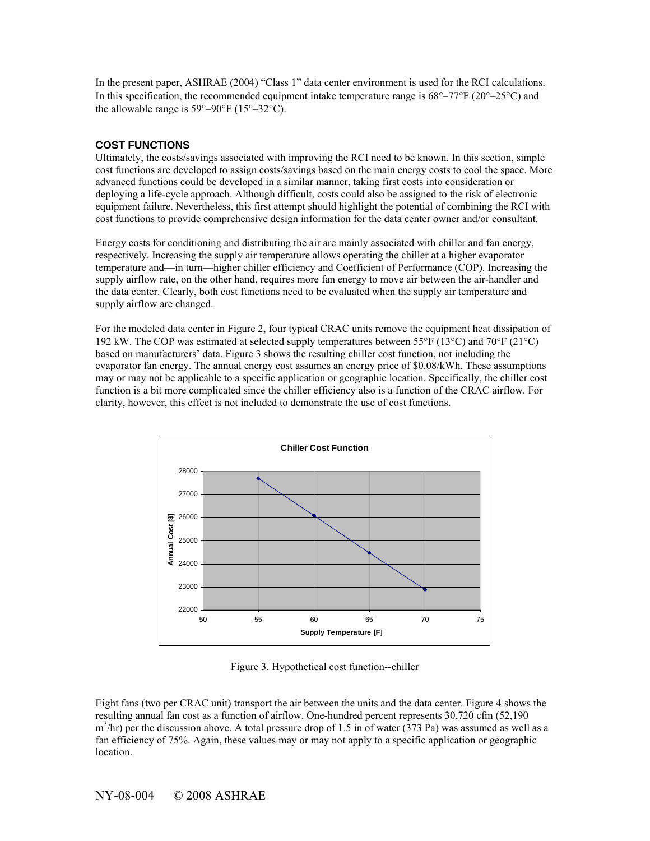In the present paper, ASHRAE (2004) "Class 1" data center environment is used for the RCI calculations. In this specification, the recommended equipment intake temperature range is  $68^{\circ}$ –77°F (20°–25°C) and the allowable range is  $59^{\circ} - 90^{\circ}$ F ( $15^{\circ} - 32^{\circ}$ C).

# **COST FUNCTIONS**

Ultimately, the costs/savings associated with improving the RCI need to be known. In this section, simple cost functions are developed to assign costs/savings based on the main energy costs to cool the space. More advanced functions could be developed in a similar manner, taking first costs into consideration or deploying a life-cycle approach. Although difficult, costs could also be assigned to the risk of electronic equipment failure. Nevertheless, this first attempt should highlight the potential of combining the RCI with cost functions to provide comprehensive design information for the data center owner and/or consultant.

Energy costs for conditioning and distributing the air are mainly associated with chiller and fan energy, respectively. Increasing the supply air temperature allows operating the chiller at a higher evaporator temperature and—in turn—higher chiller efficiency and Coefficient of Performance (COP). Increasing the supply airflow rate, on the other hand, requires more fan energy to move air between the air-handler and the data center. Clearly, both cost functions need to be evaluated when the supply air temperature and supply airflow are changed.

For the modeled data center in Figure 2, four typical CRAC units remove the equipment heat dissipation of 192 kW. The COP was estimated at selected supply temperatures between 55°F (13°C) and 70°F (21°C) based on manufacturers' data. Figure 3 shows the resulting chiller cost function, not including the evaporator fan energy. The annual energy cost assumes an energy price of \$0.08/kWh. These assumptions may or may not be applicable to a specific application or geographic location. Specifically, the chiller cost function is a bit more complicated since the chiller efficiency also is a function of the CRAC airflow. For clarity, however, this effect is not included to demonstrate the use of cost functions.



Figure 3. Hypothetical cost function--chiller

Eight fans (two per CRAC unit) transport the air between the units and the data center. Figure 4 shows the resulting annual fan cost as a function of airflow. One-hundred percent represents 30,720 cfm (52,190  $m<sup>3</sup>/hr$ ) per the discussion above. A total pressure drop of 1.5 in of water (373 Pa) was assumed as well as a fan efficiency of 75%. Again, these values may or may not apply to a specific application or geographic location.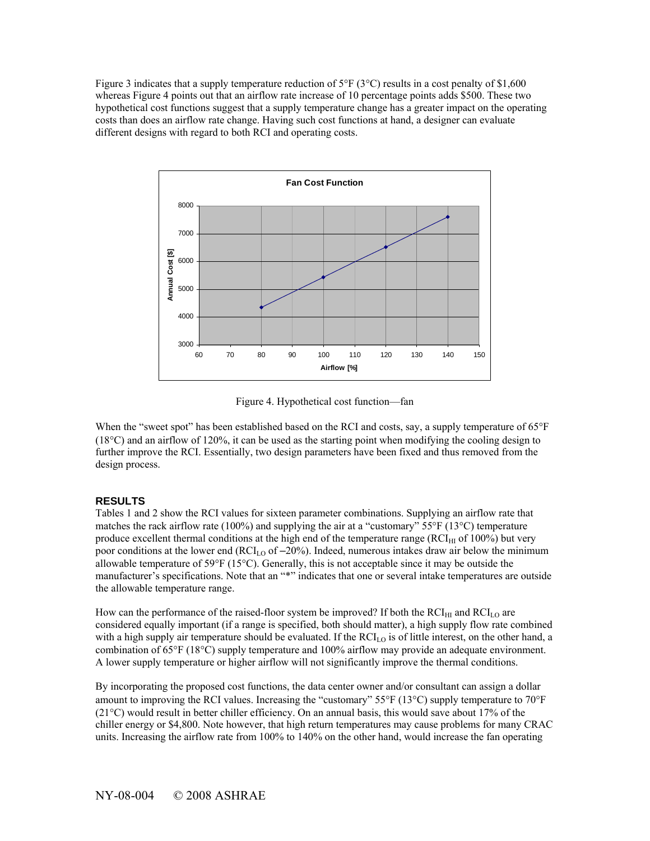Figure 3 indicates that a supply temperature reduction of  $5^{\circ}F(3^{\circ}C)$  results in a cost penalty of \$1,600 whereas Figure 4 points out that an airflow rate increase of 10 percentage points adds \$500. These two hypothetical cost functions suggest that a supply temperature change has a greater impact on the operating costs than does an airflow rate change. Having such cost functions at hand, a designer can evaluate different designs with regard to both RCI and operating costs.



Figure 4. Hypothetical cost function—fan

When the "sweet spot" has been established based on the RCI and costs, say, a supply temperature of 65°F (18°C) and an airflow of 120%, it can be used as the starting point when modifying the cooling design to further improve the RCI. Essentially, two design parameters have been fixed and thus removed from the design process.

## **RESULTS**

Tables 1 and 2 show the RCI values for sixteen parameter combinations. Supplying an airflow rate that matches the rack airflow rate (100%) and supplying the air at a "customary" 55°F (13°C) temperature produce excellent thermal conditions at the high end of the temperature range ( $RCI<sub>HI</sub>$  of 100%) but very poor conditions at the lower end ( $RCI_{LO}$  of  $-20\%$ ). Indeed, numerous intakes draw air below the minimum allowable temperature of 59°F (15°C). Generally, this is not acceptable since it may be outside the manufacturer's specifications. Note that an "\*" indicates that one or several intake temperatures are outside the allowable temperature range.

How can the performance of the raised-floor system be improved? If both the  $RCI<sub>H1</sub>$  and  $RCI<sub>LO</sub>$  are considered equally important (if a range is specified, both should matter), a high supply flow rate combined with a high supply air temperature should be evaluated. If the  $RCI<sub>LO</sub>$  is of little interest, on the other hand, a combination of 65°F (18°C) supply temperature and 100% airflow may provide an adequate environment. A lower supply temperature or higher airflow will not significantly improve the thermal conditions.

By incorporating the proposed cost functions, the data center owner and/or consultant can assign a dollar amount to improving the RCI values. Increasing the "customary" 55°F (13°C) supply temperature to 70°F (21°C) would result in better chiller efficiency. On an annual basis, this would save about 17% of the chiller energy or \$4,800. Note however, that high return temperatures may cause problems for many CRAC units. Increasing the airflow rate from 100% to 140% on the other hand, would increase the fan operating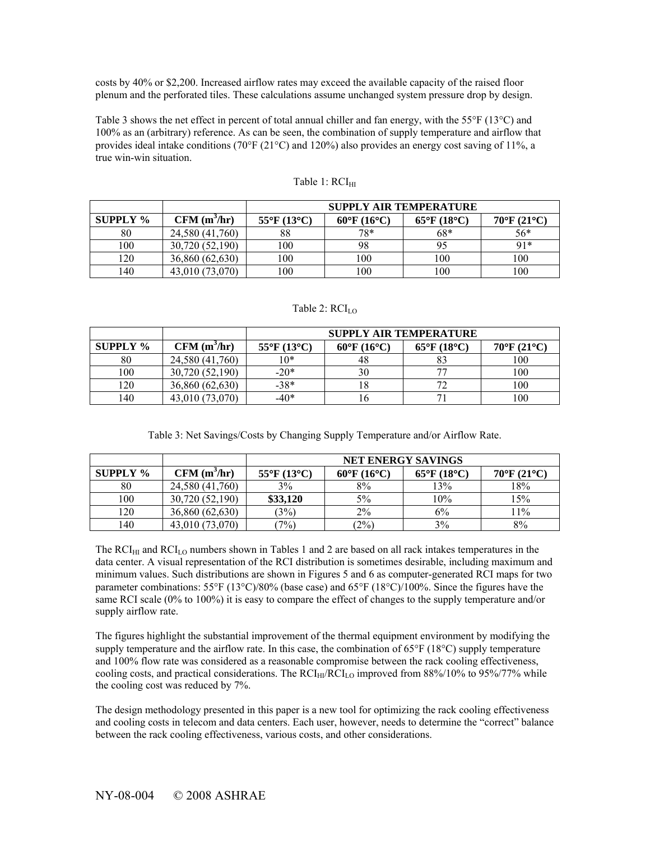costs by 40% or \$2,200. Increased airflow rates may exceed the available capacity of the raised floor plenum and the perforated tiles. These calculations assume unchanged system pressure drop by design.

Table 3 shows the net effect in percent of total annual chiller and fan energy, with the 55°F (13°C) and 100% as an (arbitrary) reference. As can be seen, the combination of supply temperature and airflow that provides ideal intake conditions (70°F (21°C) and 120%) also provides an energy cost saving of 11%, a true win-win situation.

|                 |                 | <b>SUPPLY AIR TEMPERATURE</b> |                                    |                       |                       |
|-----------------|-----------------|-------------------------------|------------------------------------|-----------------------|-----------------------|
| <b>SUPPLY</b> % | $CFM(m^3/hr)$   | $55^{\circ}$ F (13°C)         | $60^{\circ}$ F (16 <sup>o</sup> C) | $65^{\circ}$ F (18°C) | $70^{\circ}$ F (21°C) |
| 80              | 24,580 (41,760) | 88                            | 78*                                | $68*$                 | 56*                   |
| 100             | 30,720 (52,190) | 100                           | 98                                 | 95                    | $91*$                 |
| 120             | 36,860 (62,630) | 100                           | 100                                | 100                   | 100                   |
| 140             | 43,010 (73,070) | 100                           | 100                                | 100                   | 100                   |

#### Table 1: RCI<sub>HI</sub>

# Table 2: RCI<sub>LO</sub>

|                 |                         | <b>SUPPLY AIR TEMPERATURE</b> |                                  |                                  |                                  |
|-----------------|-------------------------|-------------------------------|----------------------------------|----------------------------------|----------------------------------|
| <b>SUPPLY %</b> | CFM(m <sup>3</sup> /hr) | $55^{\circ}F(13^{\circ}C)$    | $60^{\circ}$ F (16 $^{\circ}$ C) | $65^{\circ}$ F (18 $^{\circ}$ C) | $70^{\circ}$ F (21 $^{\circ}$ C) |
| 80              | 24,580 (41,760)         | $10*$                         |                                  |                                  | 100                              |
| 100             | 30,720 (52,190)         | $-20*$                        | 30                               |                                  | 100                              |
| 120             | 36,860 (62,630)         | $-38*$                        |                                  |                                  | 100                              |
| 140             | 43,010 (73,070)         | $-40*$                        |                                  |                                  | 100                              |

|                 |                         | <b>NET ENERGY SAVINGS</b>  |                       |                                  |                       |
|-----------------|-------------------------|----------------------------|-----------------------|----------------------------------|-----------------------|
| <b>SUPPLY %</b> | CFM(m <sup>3</sup> /hr) | $55^{\circ}F(13^{\circ}C)$ | $60^{\circ}$ F (16°C) | $65^{\circ}$ F (18 $^{\circ}$ C) | $70^{\circ}$ F (21°C) |
| 80              | 24,580 (41,760)         | 3%                         | 8%                    | 13%                              | 18%                   |
| 100             | 30,720 (52,190)         | \$33,120                   | 5%                    | 10%                              | 15%                   |
| 120             | 36,860 (62,630)         | $3\%)$                     | $2\%$                 | 6%                               | 11%                   |
| 140             | 43,010 (73,070)         | $7\%)$                     | (2%)                  | 3%                               | 8%                    |

The  $RCI<sub>HI</sub>$  and  $RCI<sub>LO</sub>$  numbers shown in Tables 1 and 2 are based on all rack intakes temperatures in the data center. A visual representation of the RCI distribution is sometimes desirable, including maximum and minimum values. Such distributions are shown in Figures 5 and 6 as computer-generated RCI maps for two parameter combinations: 55°F (13°C)/80% (base case) and 65°F (18°C)/100%. Since the figures have the same RCI scale (0% to 100%) it is easy to compare the effect of changes to the supply temperature and/or supply airflow rate.

The figures highlight the substantial improvement of the thermal equipment environment by modifying the supply temperature and the airflow rate. In this case, the combination of 65°F (18°C) supply temperature and 100% flow rate was considered as a reasonable compromise between the rack cooling effectiveness, cooling costs, and practical considerations. The  $RCI_{HI}/RCI_{LO}$  improved from 88%/10% to 95%/77% while the cooling cost was reduced by 7%.

The design methodology presented in this paper is a new tool for optimizing the rack cooling effectiveness and cooling costs in telecom and data centers. Each user, however, needs to determine the "correct" balance between the rack cooling effectiveness, various costs, and other considerations.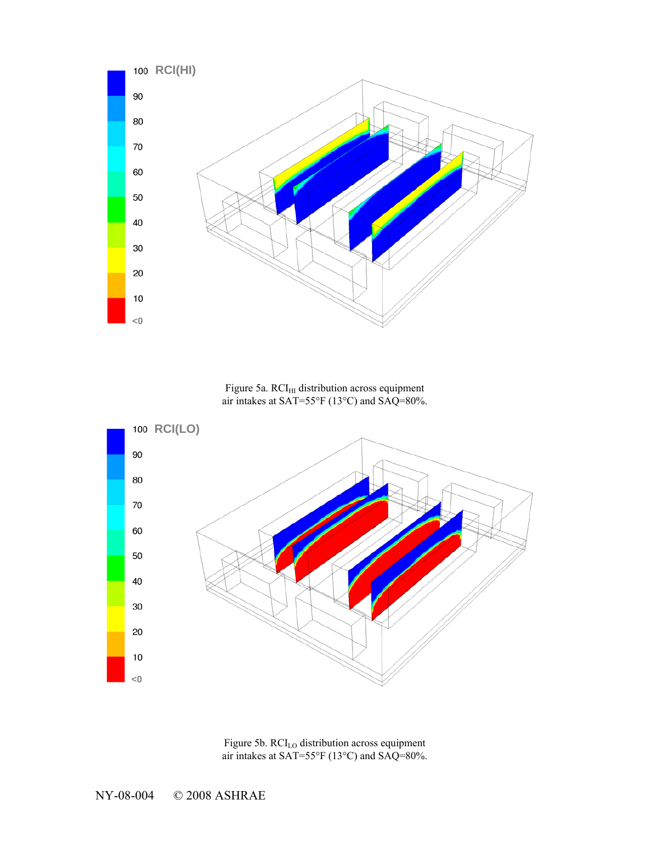

Figure 5a.  $\rm{RCI_{HI}}$  distribution across equipment air intakes at SAT=55°F (13°C) and SAQ=80%.



Figure 5b. RCI<sub>LO</sub> distribution across equipment air intakes at SAT=55°F (13°C) and SAQ=80%.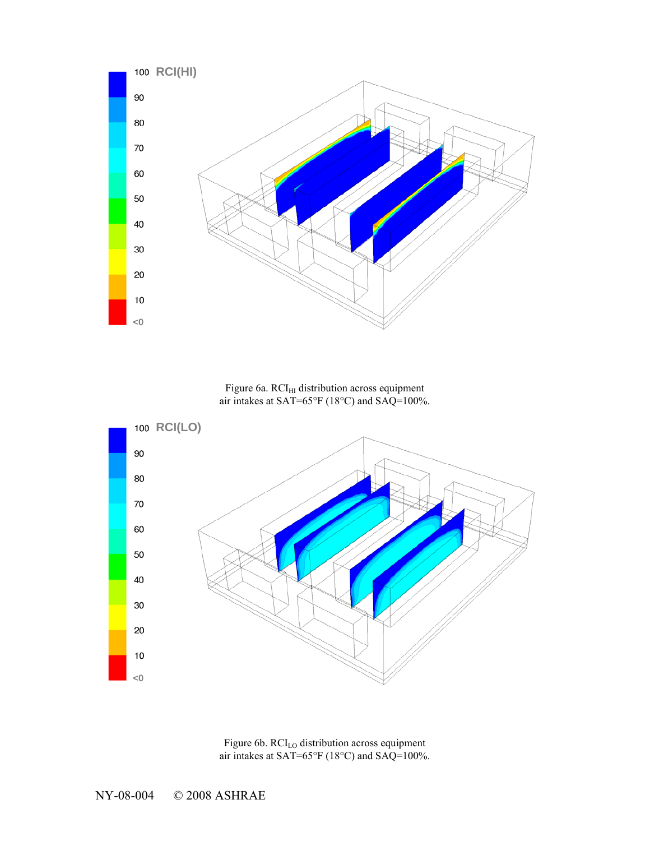

Figure 6a.  $\mathrm{RCI_{HI}}$  distribution across equipment air intakes at SAT=65°F (18°C) and SAQ=100%.



Figure 6b. RCI<sub>LO</sub> distribution across equipment air intakes at SAT=65°F (18°C) and SAQ=100%.